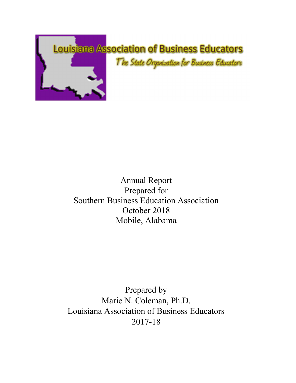

## Annual Report Prepared for Southern Business Education Association October 2018 Mobile, Alabama

Prepared by Marie N. Coleman, Ph.D. Louisiana Association of Business Educators 2017-18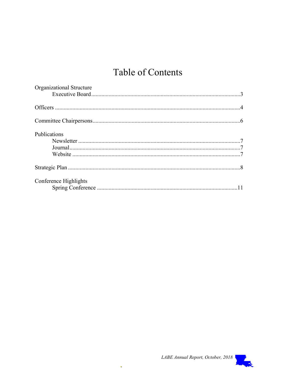# Table of Contents

| Organizational Structure |  |
|--------------------------|--|
|                          |  |
|                          |  |
|                          |  |
|                          |  |
| Publications             |  |
|                          |  |
|                          |  |
|                          |  |
|                          |  |
| Conference Highlights    |  |
|                          |  |

 $\hat{\mathbf{v}}$ 

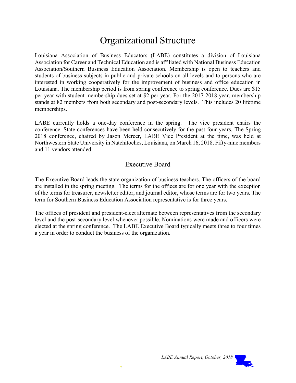## Organizational Structure

Louisiana Association of Business Educators (LABE) constitutes a division of Louisiana Association for Career and Technical Education and is affiliated with National Business Education Association/Southern Business Education Association. Membership is open to teachers and students of business subjects in public and private schools on all levels and to persons who are interested in working cooperatively for the improvement of business and office education in Louisiana. The membership period is from spring conference to spring conference. Dues are \$15 per year with student membership dues set at \$2 per year. For the 2017-2018 year, membership stands at 82 members from both secondary and post-secondary levels. This includes 20 lifetime memberships.

LABE currently holds a one-day conference in the spring. The vice president chairs the conference. State conferences have been held consecutively for the past four years. The Spring 2018 conference, chaired by Jason Mercer, LABE Vice President at the time, was held at Northwestern State University in Natchitoches, Louisiana, on March 16, 2018. Fifty-nine members and 11 vendors attended.

### Executive Board

The Executive Board leads the state organization of business teachers. The officers of the board are installed in the spring meeting. The terms for the offices are for one year with the exception of the terms for treasurer, newsletter editor, and journal editor, whose terms are for two years. The term for Southern Business Education Association representative is for three years.

The offices of president and president-elect alternate between representatives from the secondary level and the post-secondary level whenever possible. Nominations were made and officers were elected at the spring conference. The LABE Executive Board typically meets three to four times a year in order to conduct the business of the organization.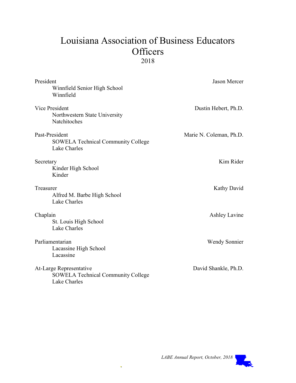## Louisiana Association of Business Educators **Officers** 2018

| President<br>Winnfield Senior High School<br>Winnfield                               | <b>Jason Mercer</b>     |
|--------------------------------------------------------------------------------------|-------------------------|
| Vice President<br>Northwestern State University<br>Natchitoches                      | Dustin Hebert, Ph.D.    |
| Past-President<br><b>SOWELA Technical Community College</b><br>Lake Charles          | Marie N. Coleman, Ph.D. |
| Secretary<br>Kinder High School<br>Kinder                                            | Kim Rider               |
| Treasurer<br>Alfred M. Barbe High School<br>Lake Charles                             | Kathy David             |
| Chaplain<br>St. Louis High School<br>Lake Charles                                    | <b>Ashley Lavine</b>    |
| Parliamentarian<br>Lacassine High School<br>Lacassine                                | <b>Wendy Sonnier</b>    |
| At-Large Representative<br><b>SOWELA Technical Community College</b><br>Lake Charles | David Shankle, Ph.D.    |

Ġ,

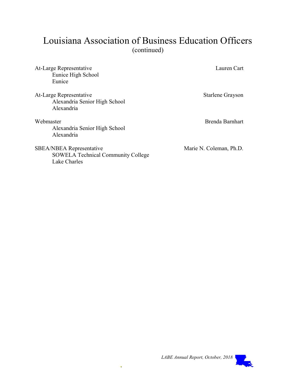## Louisiana Association of Business Education Officers (continued)

| At-Large Representative<br>Eunice High School<br>Eunice                                      | Lauren Cart             |
|----------------------------------------------------------------------------------------------|-------------------------|
| At-Large Representative<br>Alexandria Senior High School<br>Alexandria                       | Starlene Grayson        |
| Webmaster<br>Alexandria Senior High School<br>Alexandria                                     | Brenda Barnhart         |
| <b>SBEA/NBEA Representative</b><br><b>SOWELA Technical Community College</b><br>Lake Charles | Marie N. Coleman, Ph.D. |

 $\ddot{\phantom{1}}$ 

LABE Annual Report, October, 2018

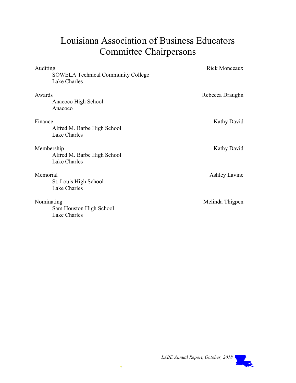# Louisiana Association of Business Educators Committee Chairpersons

| Auditing                                                  | <b>Rick Monceaux</b> |
|-----------------------------------------------------------|----------------------|
| <b>SOWELA Technical Community College</b><br>Lake Charles |                      |
| Awards<br>Anacoco High School<br>Anacoco                  | Rebecca Draughn      |
| Finance<br>Alfred M. Barbe High School<br>Lake Charles    | Kathy David          |
| Membership<br>Alfred M. Barbe High School<br>Lake Charles | Kathy David          |
| Memorial<br>St. Louis High School<br>Lake Charles         | Ashley Lavine        |
| Nominating<br>Sam Houston High School<br>Lake Charles     | Melinda Thigpen      |



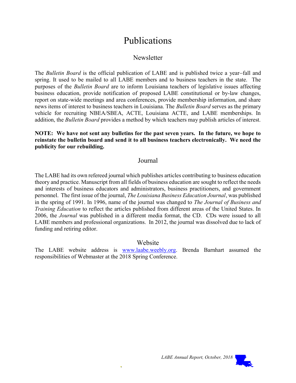## Publications

### **Newsletter**

The Bulletin Board is the official publication of LABE and is published twice a year-fall and spring. It used to be mailed to all LABE members and to business teachers in the state. The purposes of the Bulletin Board are to inform Louisiana teachers of legislative issues affecting business education, provide notification of proposed LABE constitutional or by-law changes, report on state-wide meetings and area conferences, provide membership information, and share news items of interest to business teachers in Louisiana. The Bulletin Board serves as the primary vehicle for recruiting NBEA/SBEA, ACTE, Louisiana ACTE, and LABE memberships. In addition, the Bulletin Board provides a method by which teachers may publish articles of interest.

NOTE: We have not sent any bulletins for the past seven years. In the future, we hope to reinstate the bulletin board and send it to all business teachers electronically. We need the publicity for our rebuilding.

#### Journal

The LABE had its own refereed journal which publishes articles contributing to business education theory and practice. Manuscript from all fields of business education are sought to reflect the needs and interests of business educators and administrators, business practitioners, and government personnel. The first issue of the journal, The Louisiana Business Education Journal, was published in the spring of 1991. In 1996, name of the journal was changed to The Journal of Business and Training Education to reflect the articles published from different areas of the United States. In 2006, the Journal was published in a different media format, the CD. CDs were issued to all LABE members and professional organizations. In 2012, the journal was dissolved due to lack of funding and retiring editor.

#### Website

The LABE website address is www.laabe.weebly.org. Brenda Barnhart assumed the responsibilities of Webmaster at the 2018 Spring Conference.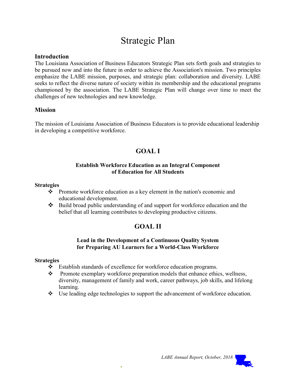## Strategic Plan

#### Introduction

The Louisiana Association of Business Educators Strategic Plan sets forth goals and strategies to be pursued now and into the future in order to achieve the Association's mission. Two principles emphasize the LABE mission, purposes, and strategic plan: collaboration and diversity. LABE seeks to reflect the diverse nature of society within its membership and the educational programs championed by the association. The LABE Strategic Plan will change over time to meet the challenges of new technologies and new knowledge.

#### Mission

The mission of Louisiana Association of Business Educators is to provide educational leadership in developing a competitive workforce.

## GOAL I

#### Establish Workforce Education as an Integral Component of Education for All Students

#### Strategies

- $\bullet$  Promote workforce education as a key element in the nation's economic and educational development.
- Build broad public understanding of and support for workforce education and the belief that all learning contributes to developing productive citizens.

### GOAL II

#### Lead in the Development of a Continuous Quality System for Preparing AU Learners for a World-Class Workforce

#### **Strategies**

- \* Establish standards of excellence for workforce education programs.
- $\div$  Promote exemplary workforce preparation models that enhance ethics, wellness, diversity, management of family and work, career pathways, job skills, and lifelong learning.
- $\bullet$  Use leading edge technologies to support the advancement of workforce education.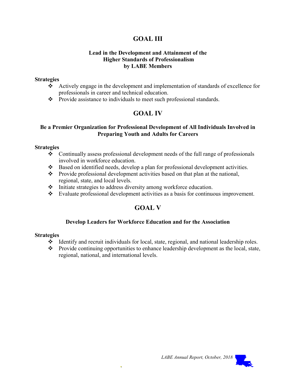### GOAL III

#### Lead in the Development and Attainment of the Higher Standards of Professionalism by LABE Members

#### **Strategies**

- Actively engage in the development and implementation of standards of excellence for professionals in career and technical education.
- \* Provide assistance to individuals to meet such professional standards.

### GOAL IV

#### Be a Premier Organization for Professional Development of All Individuals Involved in Preparing Youth and Adults for Careers

#### **Strategies**

- Continually assess professional development needs of the full range of professionals involved in workforce education.
- Based on identified needs, develop a plan for professional development activities.
- Provide professional development activities based on that plan at the national, regional, state, and local levels.
- $\cdot \cdot$  Initiate strategies to address diversity among workforce education.
- Evaluate professional development activities as a basis for continuous improvement.

### GOAL V

#### Develop Leaders for Workforce Education and for the Association

#### **Strategies**

- $\triangleleft$  Identify and recruit individuals for local, state, regional, and national leadership roles.
- $\mathbf{\hat{P}}$  Provide continuing opportunities to enhance leadership development as the local, state, regional, national, and international levels.

LABE Annual Report, October, 2018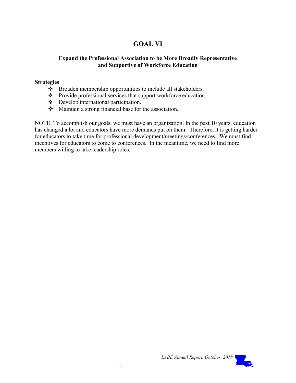## GOAL VI

#### Expand the Professional Association to be More Broadly Representative and Supportive of Workforce Education

#### **Strategies**

- \* Broaden membership opportunities to include all stakeholders.
- \* Provide professional services that support workforce education.
- Develop international participation.
- Maintain a strong financial base for the association.

NOTE: To accomplish our goals, we must have an organization. In the past 10 years, education has changed a lot and educators have more demands put on them. Therefore, it is getting harder for educators to take time for professional development/meetings/conferences. We must find incentives for educators to come to conferences. In the meantime, we need to find more members willing to take leadership roles.